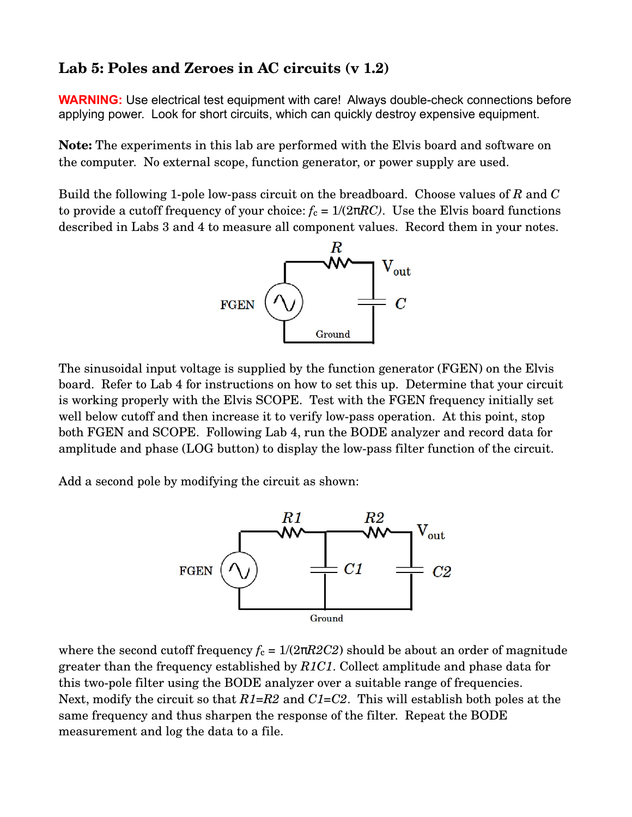## **Lab 5: Poles and Zeroes in AC circuits (v 1.2)**

**WARNING:** Use electrical test equipment with care! Always double-check connections before applying power. Look for short circuits, which can quickly destroy expensive equipment.

**Note:** The experiments in this lab are performed with the Elvis board and software on the computer. No external scope, function generator, or power supply are used.

Build the following 1pole lowpass circuit on the breadboard. Choose values of *R* and *C* to provide a cutoff frequency of your choice:  $f_c = 1/(2\pi RC)$ . Use the Elvis board functions described in Labs 3 and 4 to measure all component values. Record them in your notes.



The sinusoidal input voltage is supplied by the function generator (FGEN) on the Elvis board. Refer to Lab 4 for instructions on how to set this up. Determine that your circuit is working properly with the Elvis SCOPE. Test with the FGEN frequency initially set well below cutoff and then increase it to verify low-pass operation. At this point, stop both FGEN and SCOPE. Following Lab 4, run the BODE analyzer and record data for amplitude and phase (LOG button) to display the low-pass filter function of the circuit.

Add a second pole by modifying the circuit as shown:



where the second cutoff frequency  $f_c = 1/(2\pi R2C2)$  should be about an order of magnitude greater than the frequency established by *R1C1*. Collect amplitude and phase data for this two-pole filter using the BODE analyzer over a suitable range of frequencies. Next, modify the circuit so that *R1=R2* and *C1=C2*. This will establish both poles at the same frequency and thus sharpen the response of the filter. Repeat the BODE measurement and log the data to a file.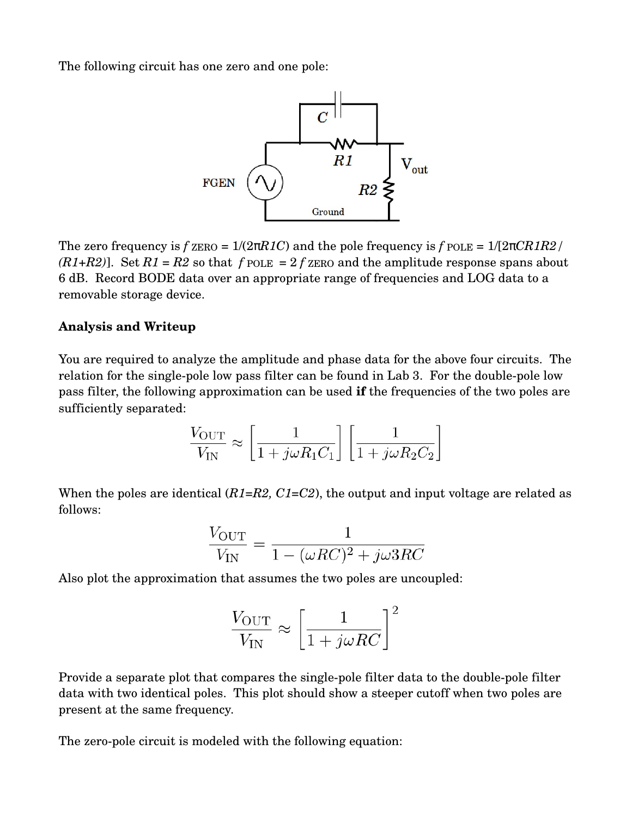The following circuit has one zero and one pole:



The zero frequency is  $f$   $_{\text{ZERO}} = 1/(2\pi RIC)$  and the pole frequency is  $f$   $_{\text{POLE}} = 1/[2\pi CR1R2]$ *(R1+R2)*]. Set  $R1 = R2$  so that  $f$  pole  $= 2 f$  zero and the amplitude response spans about 6 dB. Record BODE data over an appropriate range of frequencies and LOG data to a removable storage device.

## **Analysis and Writeup**

You are required to analyze the amplitude and phase data for the above four circuits. The relation for the single-pole low pass filter can be found in Lab 3. For the double-pole low pass filter, the following approximation can be used **if** the frequencies of the two poles are sufficiently separated:

$$
\frac{V_{\text{OUT}}}{V_{\text{IN}}} \approx \left[\frac{1}{1 + j\omega R_1 C_1}\right] \left[\frac{1}{1 + j\omega R_2 C_2}\right]
$$

When the poles are identical (*R1=R2*, *C1=C2*), the output and input voltage are related as follows:

$$
\frac{V_{\text{OUT}}}{V_{\text{IN}}} = \frac{1}{1 - (\omega RC)^2 + j\omega 3RC}
$$

Also plot the approximation that assumes the two poles are uncoupled:

$$
\frac{V_{\text{OUT}}}{V_{\text{IN}}} \approx \left[\frac{1}{1 + j\omega RC}\right]^2
$$

Provide a separate plot that compares the single-pole filter data to the double-pole filter data with two identical poles. This plot should show a steeper cutoff when two poles are present at the same frequency.

The zero-pole circuit is modeled with the following equation: